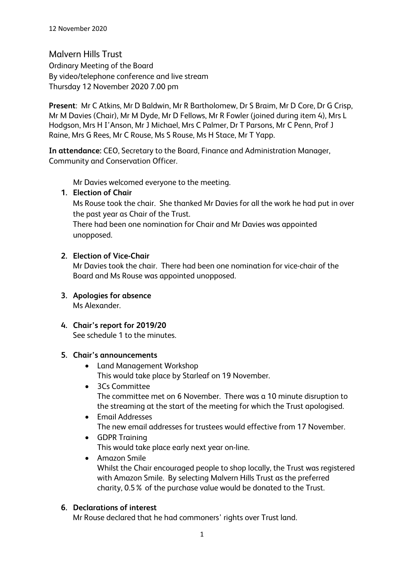Malvern Hills Trust Ordinary Meeting of the Board By video/telephone conference and live stream Thursday 12 November 2020 7.00 pm

**Present**: Mr C Atkins, Mr D Baldwin, Mr R Bartholomew, Dr S Braim, Mr D Core, Dr G Crisp, Mr M Davies (Chair), Mr M Dyde, Mr D Fellows, Mr R Fowler (joined during item 4), Mrs L Hodgson, Mrs H I'Anson, Mr J Michael, Mrs C Palmer, Dr T Parsons, Mr C Penn, Prof J Raine, Mrs G Rees, Mr C Rouse, Ms S Rouse, Ms H Stace, Mr T Yapp.

**In attendance:** CEO, Secretary to the Board, Finance and Administration Manager, Community and Conservation Officer.

Mr Davies welcomed everyone to the meeting.

### **1. Election of Chair**

Ms Rouse took the chair. She thanked Mr Davies for all the work he had put in over the past year as Chair of the Trust.

There had been one nomination for Chair and Mr Davies was appointed unopposed.

## **2. Election of Vice-Chair**

Mr Davies took the chair. There had been one nomination for vice-chair of the Board and Ms Rouse was appointed unopposed.

- **3. Apologies for absence** Ms Alexander.
- **4. Chair's report for 2019/20** See schedule 1 to the minutes.

## **5. Chair's announcements**

- Land Management Workshop This would take place by Starleaf on 19 November.
- 3Cs Committee The committee met on 6 November. There was a 10 minute disruption to the streaming at the start of the meeting for which the Trust apologised.
- Email Addresses The new email addresses for trustees would effective from 17 November.
- GDPR Training This would take place early next year on-line.
- Amazon Smile Whilst the Chair encouraged people to shop locally, the Trust was registered with Amazon Smile. By selecting Malvern Hills Trust as the preferred charity, 0.5% of the purchase value would be donated to the Trust.

# **6. Declarations of interest**

Mr Rouse declared that he had commoners' rights over Trust land.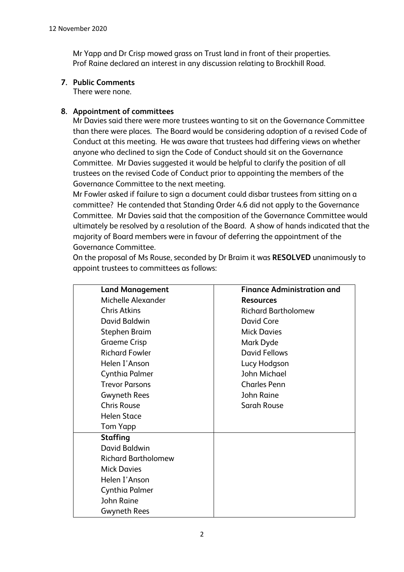Mr Yapp and Dr Crisp mowed grass on Trust land in front of their properties. Prof Raine declared an interest in any discussion relating to Brockhill Road.

### **7. Public Comments**

There were none.

## **8. Appointment of committees**

Mr Davies said there were more trustees wanting to sit on the Governance Committee than there were places. The Board would be considering adoption of a revised Code of Conduct at this meeting. He was aware that trustees had differing views on whether anyone who declined to sign the Code of Conduct should sit on the Governance Committee. Mr Davies suggested it would be helpful to clarify the position of all trustees on the revised Code of Conduct prior to appointing the members of the Governance Committee to the next meeting.

Mr Fowler asked if failure to sign a document could disbar trustees from sitting on a committee? He contended that Standing Order 4.6 did not apply to the Governance Committee. Mr Davies said that the composition of the Governance Committee would ultimately be resolved by a resolution of the Board. A show of hands indicated that the majority of Board members were in favour of deferring the appointment of the Governance Committee.

On the proposal of Ms Rouse, seconded by Dr Braim it was **RESOLVED** unanimously to appoint trustees to committees as follows:

| <b>Land Management</b>     | <b>Finance Administration and</b> |
|----------------------------|-----------------------------------|
| Michelle Alexander         | <b>Resources</b>                  |
| <b>Chris Atkins</b>        | <b>Richard Bartholomew</b>        |
| David Baldwin              | David Core                        |
| Stephen Braim              | <b>Mick Davies</b>                |
| <b>Graeme Crisp</b>        | Mark Dyde                         |
| <b>Richard Fowler</b>      | <b>David Fellows</b>              |
| Helen I'Anson              | Lucy Hodgson                      |
| Cynthia Palmer             | John Michael                      |
| <b>Trevor Parsons</b>      | <b>Charles Penn</b>               |
| <b>Gwyneth Rees</b>        | John Raine                        |
| <b>Chris Rouse</b>         | <b>Sarah Rouse</b>                |
| <b>Helen Stace</b>         |                                   |
| Tom Yapp                   |                                   |
| <b>Staffing</b>            |                                   |
| David Baldwin              |                                   |
| <b>Richard Bartholomew</b> |                                   |
| <b>Mick Davies</b>         |                                   |
| Helen I'Anson              |                                   |
| Cynthia Palmer             |                                   |
| John Raine                 |                                   |
| Gwyneth Rees               |                                   |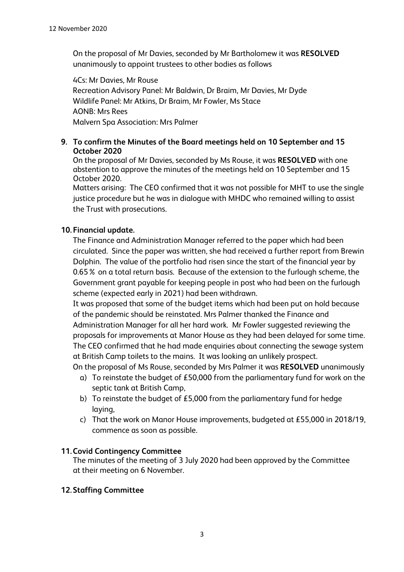On the proposal of Mr Davies, seconded by Mr Bartholomew it was **RESOLVED** unanimously to appoint trustees to other bodies as follows

4Cs: Mr Davies, Mr Rouse Recreation Advisory Panel: Mr Baldwin, Dr Braim, Mr Davies, Mr Dyde Wildlife Panel: Mr Atkins, Dr Braim, Mr Fowler, Ms Stace AONB: Mrs Rees Malvern Spa Association: Mrs Palmer

### **9. To confirm the Minutes of the Board meetings held on 10 September and 15 October 2020**

On the proposal of Mr Davies, seconded by Ms Rouse, it was **RESOLVED** with one abstention to approve the minutes of the meetings held on 10 September and 15 October 2020.

Matters arising: The CEO confirmed that it was not possible for MHT to use the single justice procedure but he was in dialogue with MHDC who remained willing to assist the Trust with prosecutions.

## **10. Financial update.**

The Finance and Administration Manager referred to the paper which had been circulated. Since the paper was written, she had received a further report from Brewin Dolphin. The value of the portfolio had risen since the start of the financial year by 0.65% on a total return basis. Because of the extension to the furlough scheme, the Government grant payable for keeping people in post who had been on the furlough scheme (expected early in 2021) had been withdrawn.

It was proposed that some of the budget items which had been put on hold because of the pandemic should be reinstated. Mrs Palmer thanked the Finance and Administration Manager for all her hard work. Mr Fowler suggested reviewing the proposals for improvements at Manor House as they had been delayed for some time. The CEO confirmed that he had made enquiries about connecting the sewage system at British Camp toilets to the mains. It was looking an unlikely prospect.

- On the proposal of Ms Rouse, seconded by Mrs Palmer it was **RESOLVED** unanimously a) To reinstate the budget of £50,000 from the parliamentary fund for work on the septic tank at British Camp,
	- b) To reinstate the budget of £5,000 from the parliamentary fund for hedge laying,
	- c) That the work on Manor House improvements, budgeted at £55,000 in 2018/19, commence as soon as possible.

## **11.Covid Contingency Committee**

The minutes of the meeting of 3 July 2020 had been approved by the Committee at their meeting on 6 November.

## **12.Staffing Committee**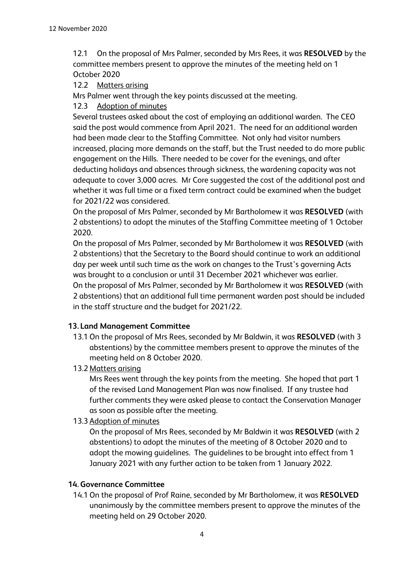12.1 On the proposal of Mrs Palmer, seconded by Mrs Rees, it was **RESOLVED** by the committee members present to approve the minutes of the meeting held on 1 October 2020

#### 12.2 Matters arising

Mrs Palmer went through the key points discussed at the meeting.

12.3 Adoption of minutes

Several trustees asked about the cost of employing an additional warden. The CEO said the post would commence from April 2021. The need for an additional warden had been made clear to the Staffing Committee. Not only had visitor numbers increased, placing more demands on the staff, but the Trust needed to do more public engagement on the Hills. There needed to be cover for the evenings, and after deducting holidays and absences through sickness, the wardening capacity was not adequate to cover 3,000 acres. Mr Core suggested the cost of the additional post and whether it was full time or a fixed term contract could be examined when the budget for 2021/22 was considered.

On the proposal of Mrs Palmer, seconded by Mr Bartholomew it was **RESOLVED** (with 2 abstentions) to adopt the minutes of the Staffing Committee meeting of 1 October 2020.

On the proposal of Mrs Palmer, seconded by Mr Bartholomew it was **RESOLVED** (with 2 abstentions) that the Secretary to the Board should continue to work an additional day per week until such time as the work on changes to the Trust's governing Acts was brought to a conclusion or until 31 December 2021 whichever was earlier. On the proposal of Mrs Palmer, seconded by Mr Bartholomew it was **RESOLVED** (with 2 abstentions) that an additional full time permanent warden post should be included in the staff structure and the budget for 2021/22.

## **13. Land Management Committee**

- 13.1 On the proposal of Mrs Rees, seconded by Mr Baldwin, it was **RESOLVED** (with 3 abstentions) by the committee members present to approve the minutes of the meeting held on 8 October 2020.
- 13.2 Matters arising

Mrs Rees went through the key points from the meeting. She hoped that part 1 of the revised Land Management Plan was now finalised. If any trustee had further comments they were asked please to contact the Conservation Manager as soon as possible after the meeting.

#### 13.3 Adoption of minutes

On the proposal of Mrs Rees, seconded by Mr Baldwin it was **RESOLVED** (with 2 abstentions) to adopt the minutes of the meeting of 8 October 2020 and to adopt the mowing guidelines. The guidelines to be brought into effect from 1 January 2021 with any further action to be taken from 1 January 2022.

#### **14.Governance Committee**

14.1 On the proposal of Prof Raine, seconded by Mr Bartholomew, it was **RESOLVED** unanimously by the committee members present to approve the minutes of the meeting held on 29 October 2020.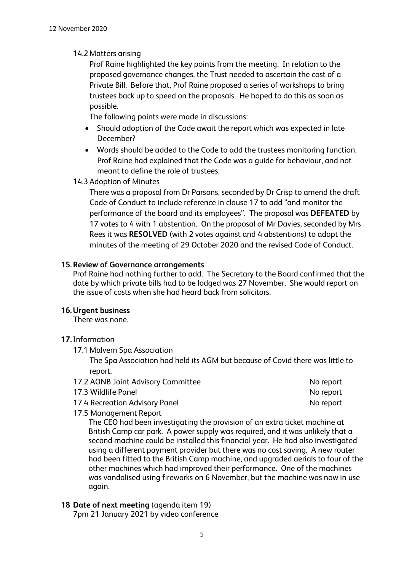### 14.2 Matters arising

Prof Raine highlighted the key points from the meeting. In relation to the proposed governance changes, the Trust needed to ascertain the cost of a Private Bill. Before that, Prof Raine proposed a series of workshops to bring trustees back up to speed on the proposals. He hoped to do this as soon as possible.

The following points were made in discussions:

- Should adoption of the Code await the report which was expected in late December?
- Words should be added to the Code to add the trustees monitoring function. Prof Raine had explained that the Code was a guide for behaviour, and not meant to define the role of trustees.

#### 14.3 Adoption of Minutes

There was a proposal from Dr Parsons, seconded by Dr Crisp to amend the draft Code of Conduct to include reference in clause 17 to add "and monitor the performance of the board and its employees". The proposal was **DEFEATED** by 17 votes to 4 with 1 abstention. On the proposal of Mr Davies, seconded by Mrs Rees it was **RESOLVED** (with 2 votes against and 4 abstentions) to adopt the minutes of the meeting of 29 October 2020 and the revised Code of Conduct.

### **15.Review of Governance arrangements**

Prof Raine had nothing further to add. The Secretary to the Board confirmed that the date by which private bills had to be lodged was 27 November. She would report on the issue of costs when she had heard back from solicitors.

#### **16.Urgent business**

There was none.

#### **17.**Information

17.1 Malvern Spa Association

The Spa Association had held its AGM but because of Covid there was little to report.

| 17.4 Recreation Advisory Panel     | No report |
|------------------------------------|-----------|
| 17.3 Wildlife Panel                | No report |
| 17.2 AONB Joint Advisory Committee | No report |

17.5 Management Report

The CEO had been investigating the provision of an extra ticket machine at British Camp car park. A power supply was required, and it was unlikely that a second machine could be installed this financial year. He had also investigated using a different payment provider but there was no cost saving. A new router had been fitted to the British Camp machine, and upgraded aerials to four of the other machines which had improved their performance. One of the machines was vandalised using fireworks on 6 November, but the machine was now in use again.

#### **18 Date of next meeting** (agenda item 19)

7pm 21 January 2021 by video conference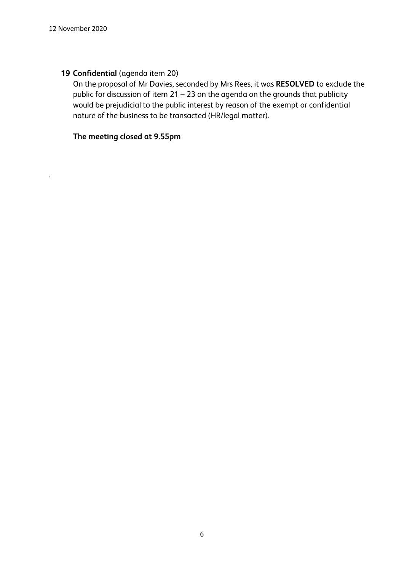.

## **19 Confidential** (agenda item 20)

On the proposal of Mr Davies, seconded by Mrs Rees, it was **RESOLVED** to exclude the public for discussion of item 21 – 23 on the agenda on the grounds that publicity would be prejudicial to the public interest by reason of the exempt or confidential nature of the business to be transacted (HR/legal matter).

## **The meeting closed at 9.55pm**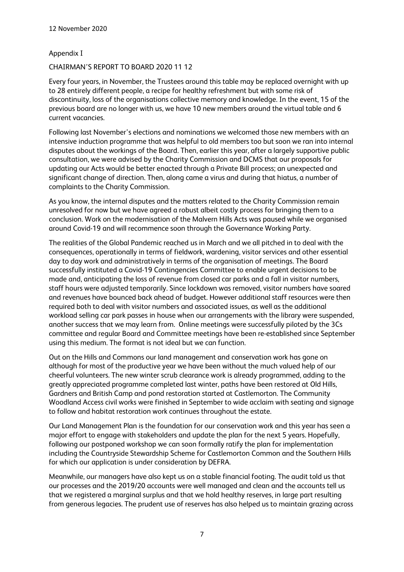#### Appendix I

#### CHAIRMAN'S REPORT TO BOARD 2020 11 12

Every four years, in November, the Trustees around this table may be replaced overnight with up to 28 entirely different people, a recipe for healthy refreshment but with some risk of discontinuity, loss of the organisations collective memory and knowledge. In the event, 15 of the previous board are no longer with us, we have 10 new members around the virtual table and 6 current vacancies.

Following last November's elections and nominations we welcomed those new members with an intensive induction programme that was helpful to old members too but soon we ran into internal disputes about the workings of the Board. Then, earlier this year, after a largely supportive public consultation, we were advised by the Charity Commission and DCMS that our proposals for updating our Acts would be better enacted through a Private Bill process; an unexpected and significant change of direction. Then, along came a virus and during that hiatus, a number of complaints to the Charity Commission.

As you know, the internal disputes and the matters related to the Charity Commission remain unresolved for now but we have agreed a robust albeit costly process for bringing them to a conclusion. Work on the modernisation of the Malvern Hills Acts was paused while we organised around Covid-19 and will recommence soon through the Governance Working Party.

The realities of the Global Pandemic reached us in March and we all pitched in to deal with the consequences, operationally in terms of fieldwork, wardening, visitor services and other essential day to day work and administratively in terms of the organisation of meetings. The Board successfully instituted a Covid-19 Contingencies Committee to enable urgent decisions to be made and, anticipating the loss of revenue from closed car parks and a fall in visitor numbers, staff hours were adjusted temporarily. Since lockdown was removed, visitor numbers have soared and revenues have bounced back ahead of budget. However additional staff resources were then required both to deal with visitor numbers and associated issues, as well as the additional workload selling car park passes in house when our arrangements with the library were suspended, another success that we may learn from. Online meetings were successfully piloted by the 3Cs committee and regular Board and Committee meetings have been re-established since September using this medium. The format is not ideal but we can function.

Out on the Hills and Commons our land management and conservation work has gone on although for most of the productive year we have been without the much valued help of our cheerful volunteers. The new winter scrub clearance work is already programmed, adding to the greatly appreciated programme completed last winter, paths have been restored at Old Hills, Gardners and British Camp and pond restoration started at Castlemorton. The Community Woodland Access civil works were finished in September to wide acclaim with seating and signage to follow and habitat restoration work continues throughout the estate.

Our Land Management Plan is the foundation for our conservation work and this year has seen a major effort to engage with stakeholders and update the plan for the next 5 years. Hopefully, following our postponed workshop we can soon formally ratify the plan for implementation including the Countryside Stewardship Scheme for Castlemorton Common and the Southern Hills for which our application is under consideration by DEFRA.

Meanwhile, our managers have also kept us on a stable financial footing. The audit told us that our processes and the 2019/20 accounts were well managed and clean and the accounts tell us that we registered a marginal surplus and that we hold healthy reserves, in large part resulting from generous legacies. The prudent use of reserves has also helped us to maintain grazing across